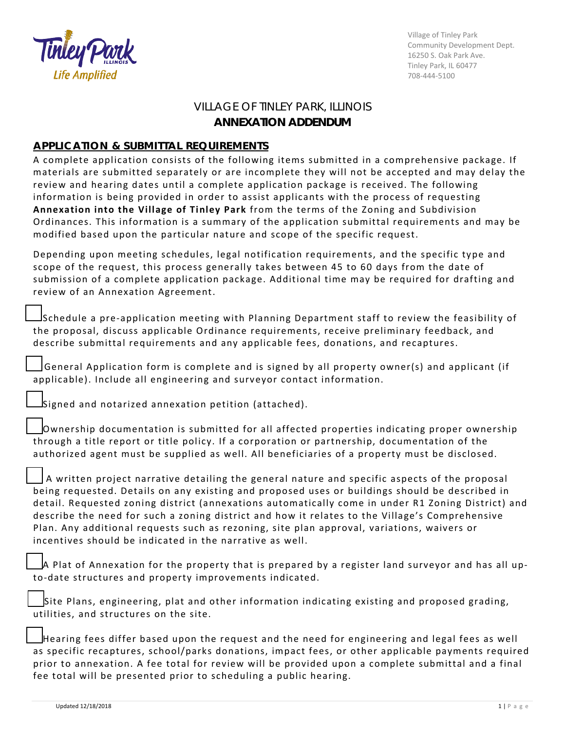

Village of Tinley Park Community Development Dept. 16250 S. Oak Park Ave. Tinley Park, IL 60477 708-444-5100

## VILLAGE OF TINLEY PARK, ILLINOIS **ANNEXATION ADDENDUM**

## **APPLICATION & SUBMITTAL REQUIREMENTS**

A complete application consists of the following items submitted in a comprehensive package. If materials are submitted separately or are incomplete they will not be accepted and may delay the review and hearing dates until a complete application package is received. The following information is being provided in order to assist applicants with the process of requesting **Annexation into the Village of Tinley Park** from the terms of the Zoning and Subdivision Ordinances. This information is a summary of the application submittal requirements and may be modified based upon the particular nature and scope of the specific request.

Depending upon meeting schedules, legal notification requirements, and the specific type and scope of the request, this process generally takes between 45 to 60 days from the date of submission of a complete application package. Additional time may be required for drafting and review of an Annexation Agreement.

☐Schedule a pre-application meeting with Planning Department staff to review the feasibility of the proposal, discuss applicable Ordinance requirements, receive preliminary feedback, and describe submittal requirements and any applicable fees, donations, and recaptures.

 $\sf J$ General Application form is complete and is signed by all property owner(s) and applicant (if applicable). Include all engineering and surveyor contact information.

☐Signed and notarized annexation petition (attached).

☐Ownership documentation is submitted for all affected properties indicating proper ownership through a title report or title policy. If a corporation or partnership, documentation of the authorized agent must be supplied as well. All beneficiaries of a property must be disclosed.

A written project narrative detailing the general nature and specific aspects of the proposal being requested. Details on any existing and proposed uses or buildings should be described in detail. Requested zoning district (annexations automatically come in under R1 Zoning District) and describe the need for such a zoning district and how it relates to the Village's Comprehensive Plan. Any additional requests such as rezoning, site plan approval, variations, waivers or incentives should be indicated in the narrative as well.

☐A Plat of Annexation for the property that is prepared by a register land surveyor and has all upto-date structures and property improvements indicated.

Site Plans, engineering, plat and other information indicating existing and proposed grading, utilities, and structures on the site.

☐Hearing fees differ based upon the request and the need for engineering and legal fees as well as specific recaptures, school/parks donations, impact fees, or other applicable payments required prior to annexation. A fee total for review will be provided upon a complete submittal and a final fee total will be presented prior to scheduling a public hearing.